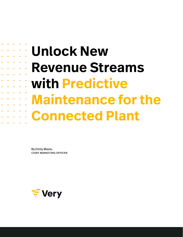# **Unlock New Revenue Streams with Predictive Maintenance for the**

**Connected Plant**

[By Emily Maxie,](https://www.verypossible.com/people/emily-maxie) [chief marketing officer](https://www.verypossible.com/people/emily-maxie)

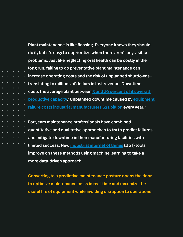Plant maintenance is like flossing. Everyone knows they should do it, but it's easy to deprioritize when there aren't any visible problems. Just like neglecting oral health can be costly in the long run, failing to do preventative plant maintenance can increase operating costs and the risk of unplanned shutdowns translating to millions of dollars in lost revenue. Downtime costs the average plant between [5 and 20 percent of its overall](https://www2.deloitte.com/us/en/insights/focus/industry-4-0/using-predictive-technologies-for-asset-maintenance.html)  [productive capacity](https://www2.deloitte.com/us/en/insights/focus/industry-4-0/using-predictive-technologies-for-asset-maintenance.html).<sup>1</sup> Unplanned downtime caused by equipment [failure costs industrial manufacturers \\$21 billion](https://partners.wsj.com/emerson/unlocking-performance/how-manufacturers-can-achieve-top-quartile-performance/) every year.<sup>2</sup> For years maintenance professionals have combined

quantitative and qualitative approaches to try to predict failures and mitigate downtime in their manufacturing facilities with limited success. New [industrial internet of things](https://www.verypossible.com/insights/how-industrial-iot-is-transforming-modern-manufacturing) (IIoT) tools improve on these methods using machine learning to take a more data-driven approach.

Converting to a predictive maintenance posture opens the door to optimize maintenance tasks in real-time and maximize the useful life of equipment while avoiding disruption to operations.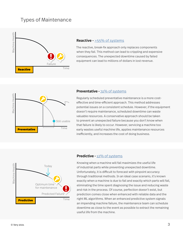## Types of Maintenance



#### **Reactive -**  $>55\%$  of systems

The reactive, break-fix approach only replaces components when they fail. This method can lead to crippling and expensive consequences. The unexpected downtime caused by failed equipment can lead to millions of dollars in lost revenue.



#### Preventative - [31% of systems](https://www1.eere.energy.gov/femp/pdfs/OM_5.pdf)

Regularly scheduled preventative maintenance is a more costeffective and time-efficient approach. This method addresses potential issues on a consistent schedule. However, if the equipment doesn't require maintenance, scheduled downtime can waste valuable resources. A conservative approach should be taken to prevent an unexpected failure because you don't know when that failure is likely to occur. However, servicing a machine too early wastes useful machine life, applies maintenance resources inefficiently, and increases the cost of doing business.



#### Predictive - [12% of systems](https://www1.eere.energy.gov/femp/pdfs/OM_5.pdf)

Knowing when a machine will fail maximizes the useful life of industrial parts while preventing unexpected downtime. Unfortunately, it is difficult to forecast with pinpoint accuracy through traditional methods. In an ideal case scenario, it's known exactly when a machine is due to fail and exactly which parts will fail, eliminating the time spent diagnosing the issue and reducing waste and risk in the process. Of course, perfection doesn't exist, but prediction comes close when enhanced with reliable data and the right ML algorithms. When an enhanced predictive system signals an impending machine failure, the maintenance team can schedule downtime as close to the event as possible to extract the remaining useful life from the machine.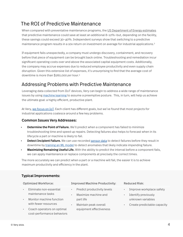## The ROI of Predictive Maintenance

When compared with preventative maintenance programs, the [US Department of Energy estimates](http://US Department of Energy estimates) that predictive maintenance could save at least an additional 8–12%—but, depending on the facility, these savings could exceed 30–40%. Independent surveys show that switching to a predictive maintenance program results in a 10x return on investment on average for industrial applications.<sup>3</sup>

If equipment fails unexpectedly, a company must undergo discovery, containment, and recovery before that piece of equipment can be brought back online. Troubleshooting and remediation incur significant operating costs over and above the associated capital equipment costs. Additionally, the company may accrue expenses due to reduced employee productivity and even supply chain disruption. Given this extensive list of expenses, it's unsurprising to find that the average cost of downtime is more than \$260,000 *per hour*. 4

## Addressing Problems with Predictive Maintenance

Leveraging data collected from IIoT devices, Very can begin to address a wide range of maintenance issues by using [machine learning](https://www.verypossible.com/services/machine-learning) to assume a preemptive posture. This, in turn, will help us achieve the ultimate goal: a highly efficient, productive plant.

At Very, [we focus on IoT.](https://www.verypossible.com/services) Each client has different goals, but we've found that most projects for industrial applications coalesce around a few key problems.

#### Common Issues Very Addresses:

- **Determine the Point of Failure.** We'll predict when a component has failed to minimize troubleshooting time and speed up repairs. Detecting failures also helps to forecast when in its lifecycle a part or machine is likely to fail.
- **Detect Incipient Failure.** We can use recorded [sensor data](https://www.verypossible.com/insights/how-is-data-science-used-in-manufacturing) to detect failures before they result in downtime by [training an ML model](https://www.youtube.com/watch?v=RmVWKLbLq2Y) to detect anomalies that likely indicate impending failure.
- Maximizing Remaining Useful Life. With the ability to predict the interval before a component fails, we can apply maintenance or replace components at precisely the correct times.

The more accurately we can predict when a part or a machine will fail, the easier it is to achieve maximum productivity and efficiency in the plant.

#### Typical Improvements:

- Eliminate non-essential maintenance tasks
- Monitor machine function with fewer resources
- Coach operators on optimal cost-performance behaviors

#### Optimized Workforce: Improved Machine Productivity: Reduced Risk:

- Predict productivity levels
- Maximize machine and part life
- Maintain peak overall equipment effectiveness

- Improve workplace safety
- Identify previously unknown variables
- Create predictable capacity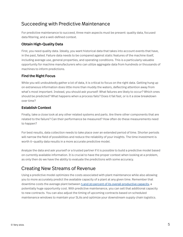## Succeeding with Predictive Maintenance

For predictive maintenance to succeed, three main aspects must be present: quality data, focused data filtering, and a well-defined context.

### Obtain High-Quality Data

First, you need quality data. Ideally, you want historical data that takes into account events that have, in the past, failed. Failure data needs to be compared against static features of the machine itself, including average use, general properties, and operating conditions. This is a particularly valuable opportunity for machine manufacturers who can utilize aggregate data from hundreds or thousands of machines to inform predictions.

### Find the Right Focus

While you will undoubtedly gather a lot of data, it is critical to focus on the right data. Getting hung up on extraneous information does little more than muddy the waters, deflecting attention away from what's most important. Instead, you should ask yourself: What failures are likely to occur? Which ones should be predicted? What happens when a process fails? Does it fail fast, or is it a slow breakdown over time?

#### Establish Context

Finally, take a close look at any other related systems and parts. Are there other components that are related to the failure? Can their performance be measured? How often do these measurements need to happen?

For best results, data collection needs to take place over an extended period of time. Shorter periods will narrow the field of possibilities and reduce the reliability of your insights. The time investment is worth it—quality data results in a more accurate predictive model.

Analyze the data and ask yourself or a trusted partner if it is possible to build a predictive model based on currently available information. It is crucial to have the proper context when looking at a problem, as only then do we have the ability to evaluate the predictions with some accuracy.

## Creating New Streams of Revenue

Using a predictive model optimizes the costs associated with plant maintenance while also allowing you to more accurately predict the available capacity of a plant at any given time. Remember that downtime costs the average plant between [5 and 20 percent of its overall productive capacity](https://www2.deloitte.com/us/en/insights/focus/industry-4-0/using-predictive-technologies-for-asset-maintenance.html), a potentially huge opportunity cost. With predictive maintenance, you can sell that additional capacity to new contracts. You can also adjust the timing of upcoming contracts based on scheduled maintenance windows to maintain your SLAs and optimize your downstream supply chain logistics.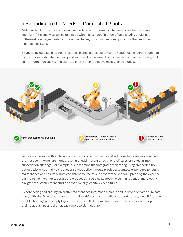## Responding to the Needs of Connected Plants

Additionally, data from predictive failure models could inform maintenance plans for the plants' suppliers if the data was owned or shared with that vendor. This sort of data sharing could lead to the next level of just-in-time provisioning for key consumables, wear parts, or other important maintenance items.

By gathering detailed data from inside the plants of their customers, a vendor could identify common failure modes, estimate the timing and volume of replacement parts needed by their customers, and share information back to the plants to inform their predictive maintenance models.



Vendors can also use this information to develop new products and solutions to mitigate or eliminate the most common failure modes—even monetizing them through one-off sales or bundling into subscription offerings. For example, a subscription that integrates monitoring using embedded IIoT devices with a just-in-time product or service delivery would provide a seamless experience for plant maintenance and ensure a more consistent source of business for the vendor. Spreading the expense out in smaller increments across the product's life also helps both the plant and vendor more easily navigate the procurement hurdles posed by large capital expenditures.

By connecting and sharing predictive maintenance information, plants and their vendors can eliminate many of the inefficiencies common in break-and-fix scenarios: tedious support tickets, long SLAs, slow troubleshooting, part supply logistics, and more. At the same time, plants and vendors will deepen their relationships and dramatically improve plant uptime.